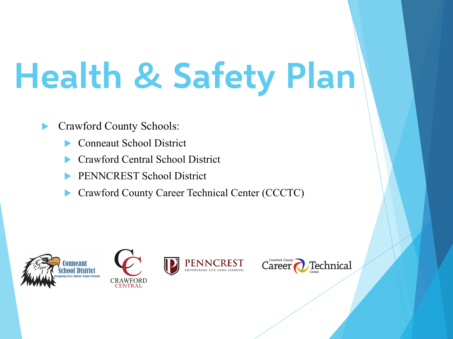## **Health & Safety Plan**

#### Crawford County Schools:

- **Conneaut School District**
- u Crawford Central School District
- PENNCREST School District
- Crawford County Career Technical Center (CCCTC)



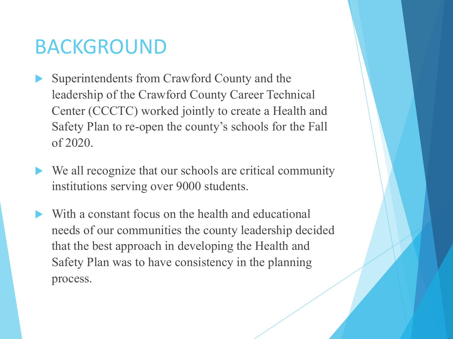### BACKGROUND

- Superintendents from Crawford County and the leadership of the Crawford County Career Technical Center (CCCTC) worked jointly to create a Health and Safety Plan to re-open the county's schools for the Fall of 2020.
- We all recognize that our schools are critical community institutions serving over 9000 students.
- With a constant focus on the health and educational needs of our communities the county leadership decided that the best approach in developing the Health and Safety Plan was to have consistency in the planning process.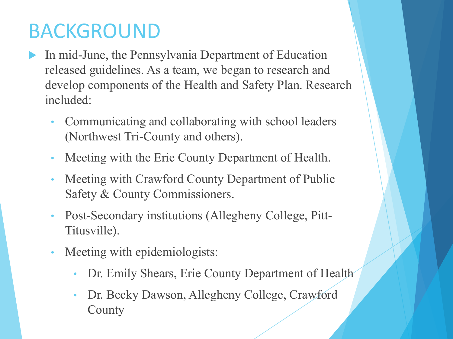## BACKGROUND

- In mid-June, the Pennsylvania Department of Education released guidelines. As a team, we began to research and develop components of the Health and Safety Plan. Research included:
	- Communicating and collaborating with school leaders (Northwest Tri-County and others).
	- Meeting with the Erie County Department of Health.
	- Meeting with Crawford County Department of Public Safety & County Commissioners.
	- Post-Secondary institutions (Allegheny College, Pitt-Titusville).
	- Meeting with epidemiologists:
		- Dr. Emily Shears, Erie County Department of Health
		- Dr. Becky Dawson, Allegheny College, Crawford **County**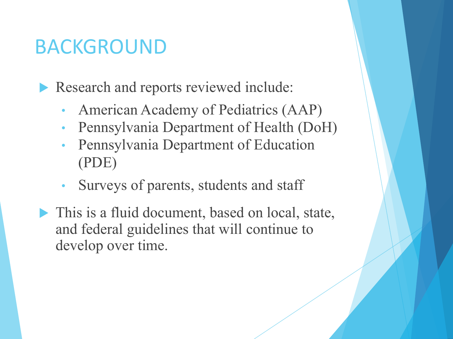## BACKGROUND

Research and reports reviewed include:

- American Academy of Pediatrics (AAP)
- Pennsylvania Department of Health (DoH)
- Pennsylvania Department of Education (PDE)
- Surveys of parents, students and staff
- $\blacktriangleright$  This is a fluid document, based on local, state, and federal guidelines that will continue to develop over time.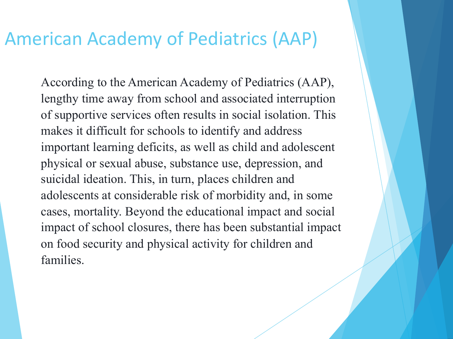#### American Academy of Pediatrics (AAP)

According to the American Academy of Pediatrics (AAP), lengthy time away from school and associated interruption of supportive services often results in social isolation. This makes it difficult for schools to identify and address important learning deficits, as well as child and adolescent physical or sexual abuse, substance use, depression, and suicidal ideation. This, in turn, places children and adolescents at considerable risk of morbidity and, in some cases, mortality. Beyond the educational impact and social impact of school closures, there has been substantial impact on food security and physical activity for children and families.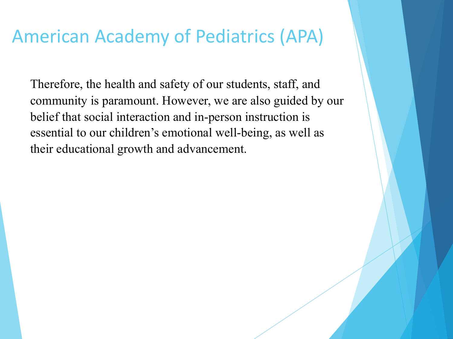### American Academy of Pediatrics (APA)

Therefore, the health and safety of our students, staff, and community is paramount. However, we are also guided by our belief that social interaction and in-person instruction is essential to our children's emotional well-being, as well as their educational growth and advancement.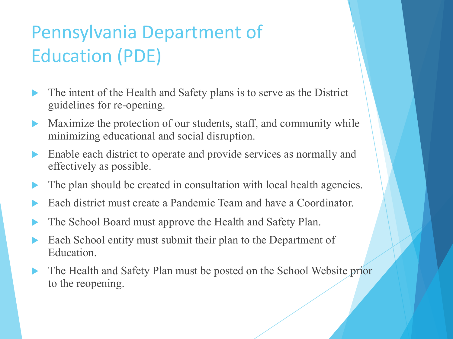## Pennsylvania Department of Education (PDE)

- The intent of the Health and Safety plans is to serve as the District guidelines for re-opening.
- $\blacktriangleright$  Maximize the protection of our students, staff, and community while minimizing educational and social disruption.
- $\blacktriangleright$  Enable each district to operate and provide services as normally and effectively as possible.
- The plan should be created in consultation with local health agencies.
- Each district must create a Pandemic Team and have a Coordinator.
- The School Board must approve the Health and Safety Plan.
- Each School entity must submit their plan to the Department of Education.
- The Health and Safety Plan must be posted on the School Website prior to the reopening.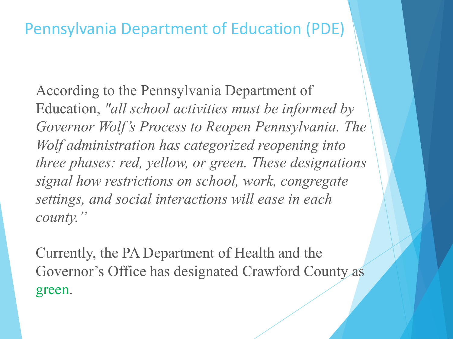#### Pennsylvania Department of Education (PDE)

According to the Pennsylvania Department of Education, *"all school activities must be informed by Governor Wolf's Process to Reopen Pennsylvania. The Wolf administration has categorized reopening into three phases: red, yellow, or green. These designations signal how restrictions on school, work, congregate settings, and social interactions will ease in each county."*

Currently, the PA Department of Health and the Governor's Office has designated Crawford County as green.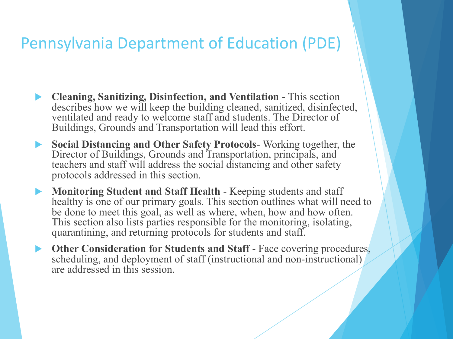#### Pennsylvania Department of Education (PDE)

- u **Cleaning, Sanitizing, Disinfection, and Ventilation** This section describes how we will keep the building cleaned, sanitized, disinfected, ventilated and ready to welcome staff and students. The Director of Buildings, Grounds and Transportation will lead this effort.
- u **Social Distancing and Other Safety Protocols** Working together, the Director of Buildings, Grounds and Transportation, principals, and teachers and staff will address the social distancing and other safety protocols addressed in this section.
- **Monitoring Student and Staff Health Keeping students and staff** healthy is one of our primary goals. This section outlines what will need to be done to meet this goal, as well as where, when, how and how often. This section also lists parties responsible for the monitoring, isolating, quarantining, and returning protocols for students and staff.
- **Other Consideration for Students and Staff** Face covering procedures, scheduling, and deployment of staff (instructional and non-instructional) are addressed in this session.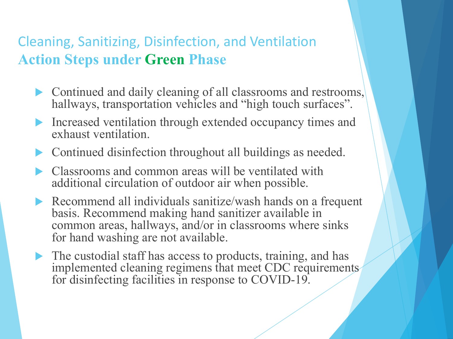#### Cleaning, Sanitizing, Disinfection, and Ventilation **Action Steps under Green Phase**

- $\triangleright$  Continued and daily cleaning of all classrooms and restrooms, hallways, transportation vehicles and "high touch surfaces".
- Increased ventilation through extended occupancy times and exhaust ventilation.
- Continued disinfection throughout all buildings as needed.
- Classrooms and common areas will be ventilated with additional circulation of outdoor air when possible.
- Recommend all individuals sanitize/wash hands on a frequent basis. Recommend making hand sanitizer available in common areas, hallways, and/or in classrooms where sinks for hand washing are not available.
- $\blacktriangleright$  The custodial staff has access to products, training, and has implemented cleaning regimens that meet CDC requirements for disinfecting facilities in response to COVID-19.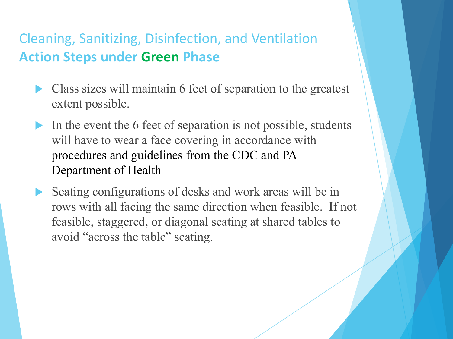#### Cleaning, Sanitizing, Disinfection, and Ventilation **Action Steps under Green Phase**

- Class sizes will maintain 6 feet of separation to the greatest extent possible.
- In the event the 6 feet of separation is not possible, students will have to wear a face covering in accordance with procedures and guidelines from the CDC and PA Department of Health
- Seating configurations of desks and work areas will be in rows with all facing the same direction when feasible. If not feasible, staggered, or diagonal seating at shared tables to avoid "across the table" seating.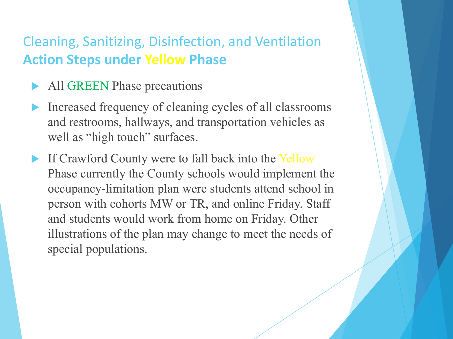#### Cleaning, Sanitizing, Disinfection, and Ventilation **Action Steps under Yellow Phase**

- All GREEN Phase precautions
- Increased frequency of cleaning cycles of all classrooms and restrooms, hallways, and transportation vehicles as well as "high touch" surfaces.
- If Crawford County were to fall back into the Yellow Phase currently the County schools would implement the occupancy-limitation plan were students attend school in person with cohorts MW or TR, and online Friday. Staff and students would work from home on Friday. Other illustrations of the plan may change to meet the needs of special populations.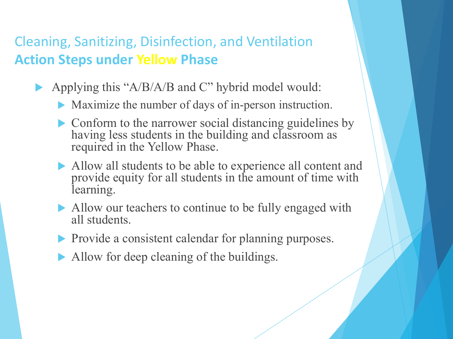#### Cleaning, Sanitizing, Disinfection, and Ventilation **Action Steps under Yellow Phase**

- Applying this " $A/B/A/B$  and C" hybrid model would:
	- $\blacktriangleright$  Maximize the number of days of in-person instruction.
	- $\triangleright$  Conform to the narrower social distancing guidelines by having less students in the building and classroom as required in the Yellow Phase.
	- Allow all students to be able to experience all content and provide equity for all students in the amount of time with learning.
	- Allow our teachers to continue to be fully engaged with all students.
	- $\blacktriangleright$  Provide a consistent calendar for planning purposes.
	- $\blacktriangleright$  Allow for deep cleaning of the buildings.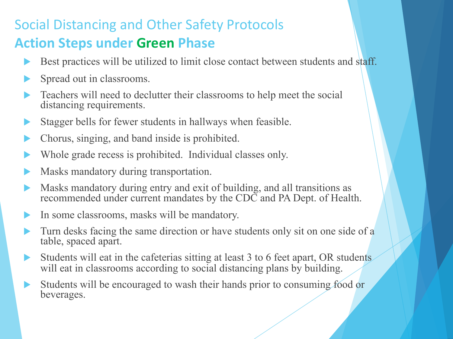#### Social Distancing and Other Safety Protocols **Action Steps under Green Phase**

- Best practices will be utilized to limit close contact between students and staff.
- Spread out in classrooms.
- Teachers will need to declutter their classrooms to help meet the social distancing requirements.
- Stagger bells for fewer students in hallways when feasible.
- Chorus, singing, and band inside is prohibited.
- Whole grade recess is prohibited. Individual classes only.
- Masks mandatory during transportation.
- Masks mandatory during entry and exit of building, and all transitions as recommended under current mandates by the CDC and PA Dept. of Health.
- In some classrooms, masks will be mandatory.
- Turn desks facing the same direction or have students only sit on one side of a table, spaced apart.
- Students will eat in the cafeterias sitting at least 3 to 6 feet apart, OR students will eat in classrooms according to social distancing plans by building.
- Students will be encouraged to wash their hands prior to consuming food or beverages.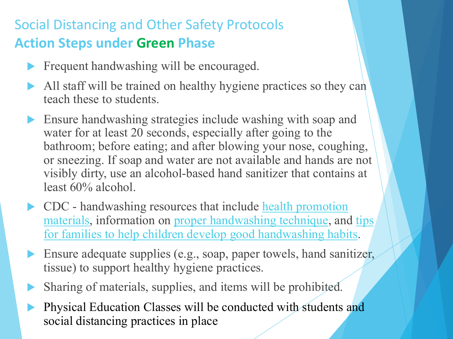#### Social Distancing and Other Safety Protocols **Action Steps under Green Phase**

- $\blacktriangleright$  [Frequent handwashing will be encouraged.](https://www.cdc.gov/handwashing/handwashing-family.html)
- $\blacktriangleright$  All staff will be trained on healthy hygiene practices so they can teach these to students.
- Ensure handwashing strategies include washing with soap and water for at least 20 seconds, especially after going to the bathroom; before eating; and after blowing your nose, coughing, or sneezing. If soap and water are not available and hands are not visibly dirty, use an alcohol-based hand sanitizer that contains at least 60% alcohol.
- $\triangleright$  CDC handwashing resources that include health promotion materials, information on proper handwashing technique, and tips for families to help children develop good handwashing habits.
- Ensure adequate supplies (e.g., soap, paper towels, hand sanitizer, tissue) to support healthy hygiene practices.
- Sharing of materials, supplies, and items will be prohibited.
- Physical Education Classes will be conducted with students and social distancing practices in place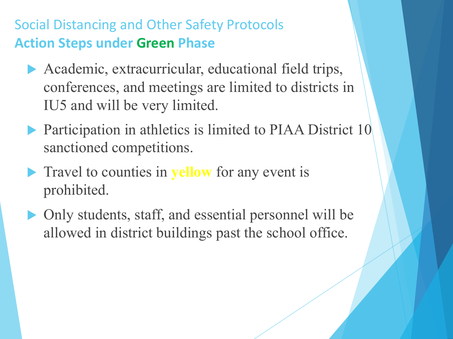Social Distancing and Other Safety Protocols **Action Steps under Green Phase**

- Academic, extracurricular, educational field trips, conferences, and meetings are limited to districts in IU5 and will be very limited.
- $\blacktriangleright$  Participation in athletics is limited to PIAA District 10 sanctioned competitions.
- **Travel to counties in yellow** for any event is prohibited.
- Only students, staff, and essential personnel will be allowed in district buildings past the school office.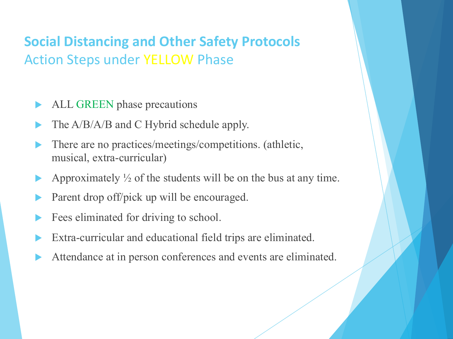#### **Social Distancing and Other Safety Protocols** Action Steps under YELLOW Phase

- ALL GREEN phase precautions
- The A/B/A/B and C Hybrid schedule apply.
- There are no practices/meetings/competitions. (athletic, musical, extra-curricular)
- Approximately  $\frac{1}{2}$  of the students will be on the bus at any time.
- Parent drop off/pick up will be encouraged.
- Fees eliminated for driving to school.
- Extra-curricular and educational field trips are eliminated.
- Attendance at in person conferences and events are eliminated.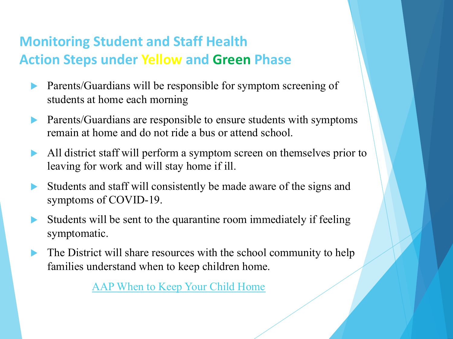#### **Monitoring Student and Staff Health Action Steps under Yellow and Green Phase**

- **Parents/Guardians will be responsible for symptom screening of** students at home each morning
- Parents/Guardians are responsible to ensure students with symptoms remain at [home and do not ride a bus or attend sc](https://www.healthychildren.org/English/family-life/work-play/Pages/When-to-Keep-Your-Child-Home-from-Child-Care.aspx)hool.
- $\blacktriangleright$  All district staff will perform a symptom screen on themselves prior to leaving for work and will stay home if ill.
- $\triangleright$  Students and staff will consistently be made aware of the signs and symptoms of COVID-19.
- Students will be sent to the quarantine room immediately if feeling symptomatic.
- The District will share resources with the school community to help families understand when to keep children home.

AAP When to Keep Your Child Home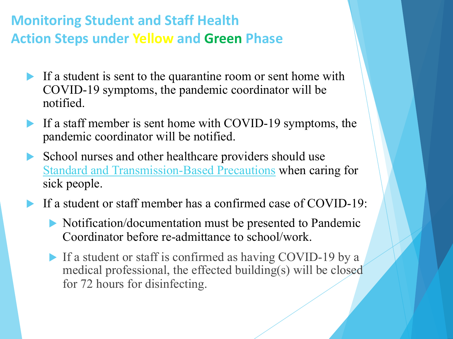#### **Mon[itoring Student and Staff Health](https://www.cdc.gov/coronavirus/2019-ncov/hcp/infection-control-recommendations.html%3FCDC_AA_refVal=https:/www.cdc.gov/coronavirus/2019-ncov/infection-control/control-recommendations.html) Action Steps under Yellow and Green Phase**

- If a student is sent to the quarantine room or sent home with COVID-19 symptoms, the pandemic coordinator will be notified.
- If a staff member is sent home with COVID-19 symptoms, the pandemic coordinator will be notified.
- $\triangleright$  School nurses and other healthcare providers should use Standard and Transmission-Based Precautions when caring for sick people.
- If a student or staff member has a confirmed case of COVID-19:
	- $\triangleright$  Notification/documentation must be presented to Pandemic Coordinator before re-admittance to school/work.
	- If a student or staff is confirmed as having COVID-19 by a medical professional, the effected building(s) will be closed for 72 hours for disinfecting.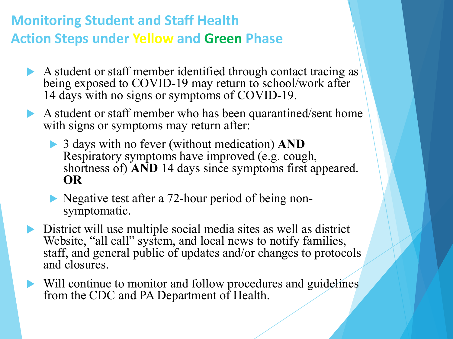#### **Monitoring Student and Staff Health Action Steps under Yellow and Green Phase**

- A student or staff member identified through contact tracing as being exposed to COVID-19 may return to school/work after 14 days with no signs or symptoms of COVID-19.
- A student or staff member who has been quarantined/sent home with signs or symptoms may return after:
	- ▶ 3 days with no fever (without medication) **AND** Respiratory symptoms have improved (e.g. cough, shortness of) **AND** 14 days since symptoms first appeared. **OR**
	- lacktriangleright Negative test after a 72-hour period of being non-<br>symptomatic.
- $\triangleright$  District will use multiple social media sites as well as district Website, "all call" system, and local news to notify families, staff, and general public of updates and/or changes to protocols and closures.
- $\blacktriangleright$  Will continue to monitor and follow procedures and guidelines from the CDC and PA Department of Health.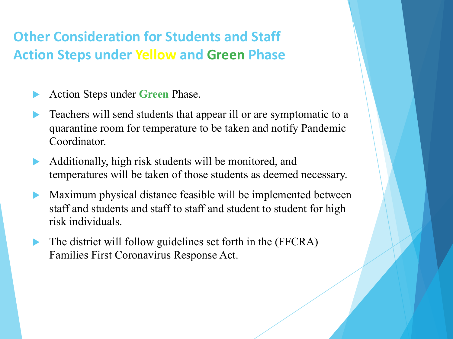#### **Other Consideration for Students and Staff Action Steps under Yellow and Green Phase**

- Action Steps under **Green** Phase.
- Teachers will send students that appear ill or are symptomatic to a quarantine room for temperature to be taken and notify Pandemic Coordinator.
- Additionally, high risk students will be monitored, and temperatures will be taken of those students as deemed necessary.
- Maximum physical distance feasible will be implemented between staff and students and staff to staff and student to student for high risk individuals.
- The district will follow guidelines set forth in the (FFCRA) Families First Coronavirus Response Act.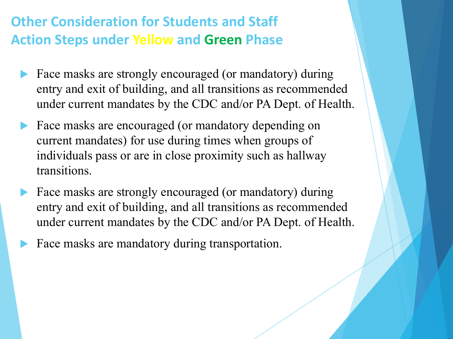#### **Other Consideration for Students and Staff Action Steps under Yellow and Green Phase**

- Face masks are strongly encouraged (or mandatory) during entry and exit of building, and all transitions as recommended under current mandates by the CDC and/or PA Dept. of Health.
- Face masks are encouraged (or mandatory depending on current mandates) for use during times when groups of individuals pass or are in close proximity such as hallway transitions.
- Face masks are strongly encouraged (or mandatory) during entry and exit of building, and all transitions as recommended under current mandates by the CDC and/or PA Dept. of Health.
- Face masks are mandatory during transportation.